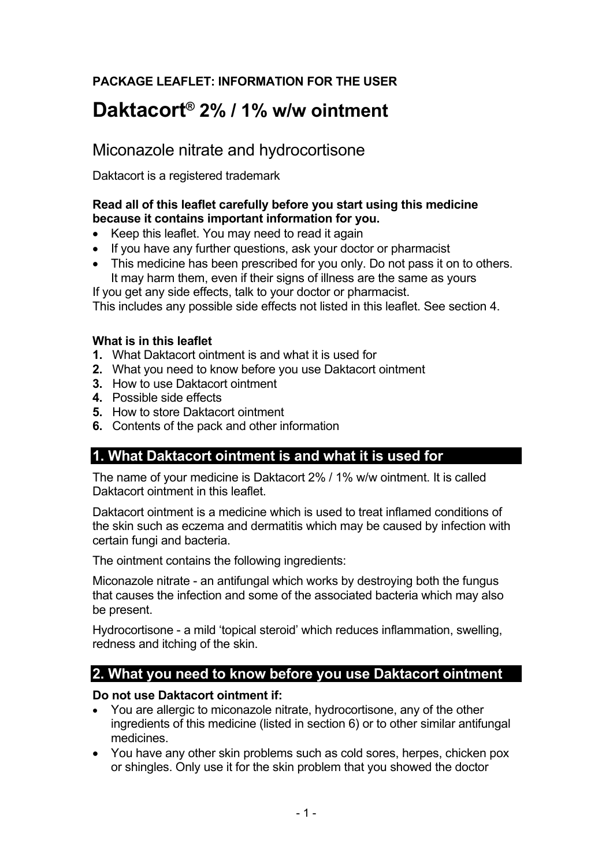## **PACKAGE LEAFLET: INFORMATION FOR THE USER**

# **Daktacort® 2% / 1% w/w ointment**

## Miconazole nitrate and hydrocortisone

Daktacort is a registered trademark

#### **Read all of this leaflet carefully before you start using this medicine because it contains important information for you.**

- Keep this leaflet. You may need to read it again
- If you have any further questions, ask your doctor or pharmacist
- This medicine has been prescribed for you only. Do not pass it on to others. It may harm them, even if their signs of illness are the same as yours

If you get any side effects, talk to your doctor or pharmacist.

This includes any possible side effects not listed in this leaflet. See section 4.

#### **What is in this leaflet**

- **1.** What Daktacort ointment is and what it is used for
- **2.** What you need to know before you use Daktacort ointment
- **3.** How to use Daktacort ointment
- **4.** Possible side effects
- **5.** How to store Daktacort ointment
- **6.** Contents of the pack and other information

## **1. What Daktacort ointment is and what it is used for**

The name of your medicine is Daktacort 2% / 1% w/w ointment. It is called Daktacort ointment in this leaflet

Daktacort ointment is a medicine which is used to treat inflamed conditions of the skin such as eczema and dermatitis which may be caused by infection with certain fungi and bacteria.

The ointment contains the following ingredients:

Miconazole nitrate - an antifungal which works by destroying both the fungus that causes the infection and some of the associated bacteria which may also be present.

Hydrocortisone - a mild 'topical steroid' which reduces inflammation, swelling, redness and itching of the skin.

## **2. What you need to know before you use Daktacort ointment**

#### **Do not use Daktacort ointment if:**

- You are allergic to miconazole nitrate, hydrocortisone, any of the other ingredients of this medicine (listed in section 6) or to other similar antifungal medicines.
- You have any other skin problems such as cold sores, herpes, chicken pox or shingles. Only use it for the skin problem that you showed the doctor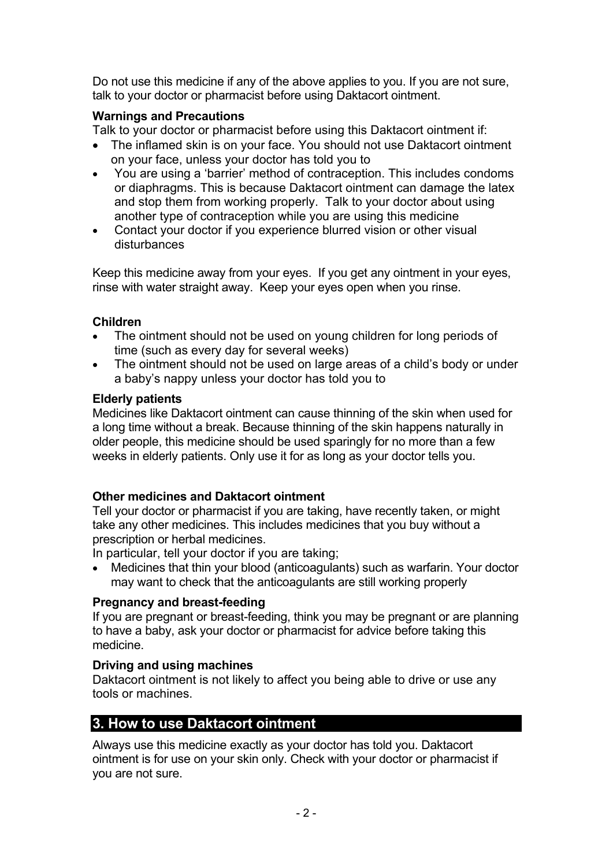Do not use this medicine if any of the above applies to you. If you are not sure, talk to your doctor or pharmacist before using Daktacort ointment.

#### **Warnings and Precautions**

Talk to your doctor or pharmacist before using this Daktacort ointment if:

- The inflamed skin is on your face. You should not use Daktacort ointment on your face, unless your doctor has told you to
- You are using a 'barrier' method of contraception. This includes condoms or diaphragms. This is because Daktacort ointment can damage the latex and stop them from working properly. Talk to your doctor about using another type of contraception while you are using this medicine
- Contact your doctor if you experience blurred vision or other visual disturbances

Keep this medicine away from your eyes. If you get any ointment in your eyes, rinse with water straight away. Keep your eyes open when you rinse.

#### **Children**

- The ointment should not be used on young children for long periods of time (such as every day for several weeks)
- The ointment should not be used on large areas of a child's body or under a baby's nappy unless your doctor has told you to

#### **Elderly patients**

Medicines like Daktacort ointment can cause thinning of the skin when used for a long time without a break. Because thinning of the skin happens naturally in older people, this medicine should be used sparingly for no more than a few weeks in elderly patients. Only use it for as long as your doctor tells you.

#### **Other medicines and Daktacort ointment**

Tell your doctor or pharmacist if you are taking, have recently taken, or might take any other medicines. This includes medicines that you buy without a prescription or herbal medicines.

In particular, tell your doctor if you are taking;

 Medicines that thin your blood (anticoagulants) such as warfarin. Your doctor may want to check that the anticoagulants are still working properly

#### **Pregnancy and breast-feeding**

If you are pregnant or breast-feeding, think you may be pregnant or are planning to have a baby, ask your doctor or pharmacist for advice before taking this medicine.

#### **Driving and using machines**

Daktacort ointment is not likely to affect you being able to drive or use any tools or machines.

## **3. How to use Daktacort ointment**

Always use this medicine exactly as your doctor has told you. Daktacort ointment is for use on your skin only. Check with your doctor or pharmacist if you are not sure.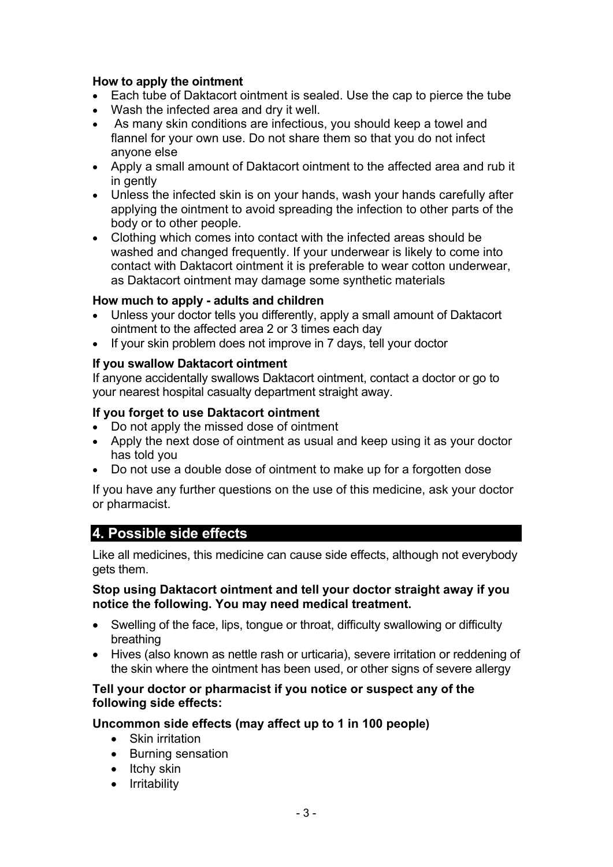#### **How to apply the ointment**

- Each tube of Daktacort ointment is sealed. Use the cap to pierce the tube
- Wash the infected area and dry it well.
- As many skin conditions are infectious, you should keep a towel and flannel for your own use. Do not share them so that you do not infect anyone else
- Apply a small amount of Daktacort ointment to the affected area and rub it in gently
- Unless the infected skin is on your hands, wash your hands carefully after applying the ointment to avoid spreading the infection to other parts of the body or to other people.
- Clothing which comes into contact with the infected areas should be washed and changed frequently. If your underwear is likely to come into contact with Daktacort ointment it is preferable to wear cotton underwear, as Daktacort ointment may damage some synthetic materials

#### **How much to apply - adults and children**

- Unless your doctor tells you differently, apply a small amount of Daktacort ointment to the affected area 2 or 3 times each day
- If your skin problem does not improve in 7 days, tell your doctor

#### **If you swallow Daktacort ointment**

If anyone accidentally swallows Daktacort ointment, contact a doctor or go to your nearest hospital casualty department straight away.

#### **If you forget to use Daktacort ointment**

- Do not apply the missed dose of ointment
- Apply the next dose of ointment as usual and keep using it as your doctor has told you
- Do not use a double dose of ointment to make up for a forgotten dose

If you have any further questions on the use of this medicine, ask your doctor or pharmacist.

## **4. Possible side effects**

Like all medicines, this medicine can cause side effects, although not everybody gets them.

#### **Stop using Daktacort ointment and tell your doctor straight away if you notice the following. You may need medical treatment.**

- Swelling of the face, lips, tongue or throat, difficulty swallowing or difficulty breathing
- Hives (also known as nettle rash or urticaria), severe irritation or reddening of the skin where the ointment has been used, or other signs of severe allergy

#### **Tell your doctor or pharmacist if you notice or suspect any of the following side effects:**

#### **Uncommon side effects (may affect up to 1 in 100 people)**

- Skin irritation
- Burning sensation
- $\bullet$  Itchy skin
- Irritability